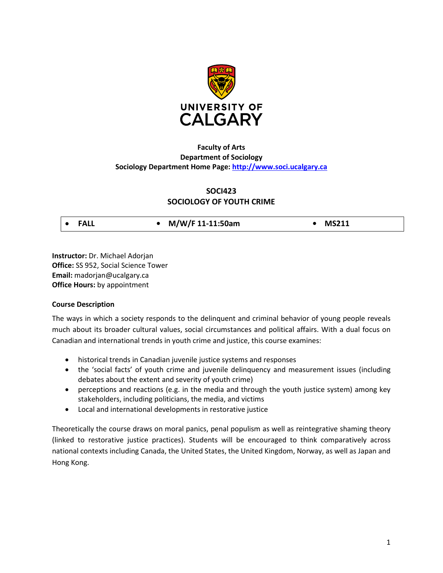

## **Faculty of Arts Department of Sociology Sociology Department Home Page: [http://www.soci.ucalgary.ca](http://www.soci.ucalgary.ca/)**

## **SOCI423**

# **SOCIOLOGY OF YOUTH CRIME**

| M/W/F 11-11:50am<br><b>MS211</b><br><b>FALL</b> |
|-------------------------------------------------|
|-------------------------------------------------|

**Instructor:** Dr. Michael Adorjan **Office:** SS 952, Social Science Tower **Email:** madorjan@ucalgary.ca **Office Hours:** by appointment

### **Course Description**

The ways in which a society responds to the delinquent and criminal behavior of young people reveals much about its broader cultural values, social circumstances and political affairs. With a dual focus on Canadian and international trends in youth crime and justice, this course examines:

- historical trends in Canadian juvenile justice systems and responses
- the 'social facts' of youth crime and juvenile delinquency and measurement issues (including debates about the extent and severity of youth crime)
- perceptions and reactions (e.g. in the media and through the youth justice system) among key stakeholders, including politicians, the media, and victims
- Local and international developments in restorative justice

Theoretically the course draws on moral panics, penal populism as well as reintegrative shaming theory (linked to restorative justice practices). Students will be encouraged to think comparatively across national contexts including Canada, the United States, the United Kingdom, Norway, as well as Japan and Hong Kong.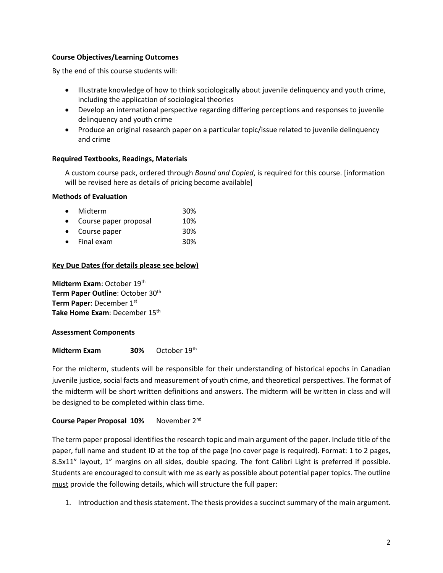### **Course Objectives/Learning Outcomes**

By the end of this course students will:

- Illustrate knowledge of how to think sociologically about juvenile delinquency and youth crime, including the application of sociological theories
- Develop an international perspective regarding differing perceptions and responses to juvenile delinquency and youth crime
- Produce an original research paper on a particular topic/issue related to juvenile delinquency and crime

### **Required Textbooks, Readings, Materials**

A custom course pack, ordered through *Bound and Copied*, is required for this course. [information will be revised here as details of pricing become available]

### **Methods of Evaluation**

| $\bullet$ | Midterm               | 30% |
|-----------|-----------------------|-----|
| $\bullet$ | Course paper proposal | 10% |
| $\bullet$ | Course paper          | 30% |
| $\bullet$ | Final exam            | 30% |

### **Key Due Dates (for details please see below)**

**Midterm Exam: October 19th Term Paper Outline: October 30th Term Paper: December 1st Take Home Exam: December 15th** 

## **Assessment Components**

## **Midterm Exam 30%** October 19th

For the midterm, students will be responsible for their understanding of historical epochs in Canadian juvenile justice, social facts and measurement of youth crime, and theoretical perspectives. The format of the midterm will be short written definitions and answers. The midterm will be written in class and will be designed to be completed within class time.

### **Course Paper Proposal 10%** November 2nd

The term paper proposal identifies the research topic and main argument of the paper. Include title of the paper, full name and student ID at the top of the page (no cover page is required). Format: 1 to 2 pages, 8.5x11" layout, 1" margins on all sides, double spacing. The font Calibri Light is preferred if possible. Students are encouraged to consult with me as early as possible about potential paper topics. The outline must provide the following details, which will structure the full paper:

1. Introduction and thesis statement. The thesis provides a succinct summary of the main argument.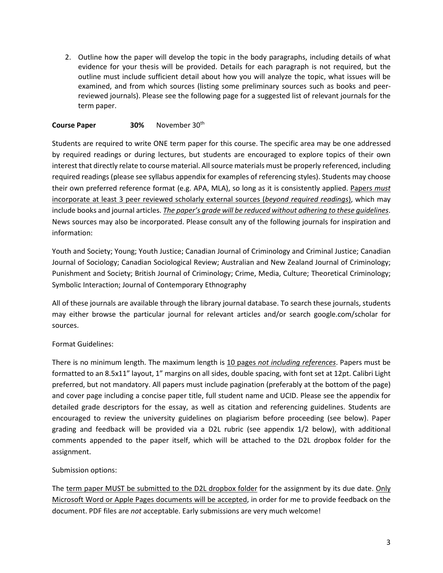2. Outline how the paper will develop the topic in the body paragraphs, including details of what evidence for your thesis will be provided. Details for each paragraph is not required, but the outline must include sufficient detail about how you will analyze the topic, what issues will be examined, and from which sources (listing some preliminary sources such as books and peerreviewed journals). Please see the following page for a suggested list of relevant journals for the term paper.

### **Course Paper 30%** November 30th

Students are required to write ONE term paper for this course. The specific area may be one addressed by required readings or during lectures, but students are encouraged to explore topics of their own interest that directly relate to course material. All source materials must be properly referenced, including required readings (please see syllabus appendix for examples of referencing styles). Students may choose their own preferred reference format (e.g. APA, MLA), so long as it is consistently applied. Papers *must* incorporate at least 3 peer reviewed scholarly external sources (*beyond required readings*), which may include books and journal articles. *The paper's grade will be reduced without adhering to these guidelines*. News sources may also be incorporated. Please consult any of the following journals for inspiration and information:

Youth and Society; Young; Youth Justice; Canadian Journal of Criminology and Criminal Justice; Canadian Journal of Sociology; Canadian Sociological Review; Australian and New Zealand Journal of Criminology; Punishment and Society; British Journal of Criminology; Crime, Media, Culture; Theoretical Criminology; Symbolic Interaction; Journal of Contemporary Ethnography

All of these journals are available through the library journal database. To search these journals, students may either browse the particular journal for relevant articles and/or search google.com/scholar for sources.

## Format Guidelines:

There is no minimum length. The maximum length is 10 pages *not including references*. Papers must be formatted to an 8.5x11" layout, 1" margins on all sides, double spacing, with font set at 12pt. Calibri Light preferred, but not mandatory. All papers must include pagination (preferably at the bottom of the page) and cover page including a concise paper title, full student name and UCID. Please see the appendix for detailed grade descriptors for the essay, as well as citation and referencing guidelines. Students are encouraged to review the university guidelines on plagiarism before proceeding (see below). Paper grading and feedback will be provided via a D2L rubric (see appendix 1/2 below), with additional comments appended to the paper itself, which will be attached to the D2L dropbox folder for the assignment.

### Submission options:

The term paper MUST be submitted to the D2L dropbox folder for the assignment by its due date. Only Microsoft Word or Apple Pages documents will be accepted, in order for me to provide feedback on the document. PDF files are *not* acceptable. Early submissions are very much welcome!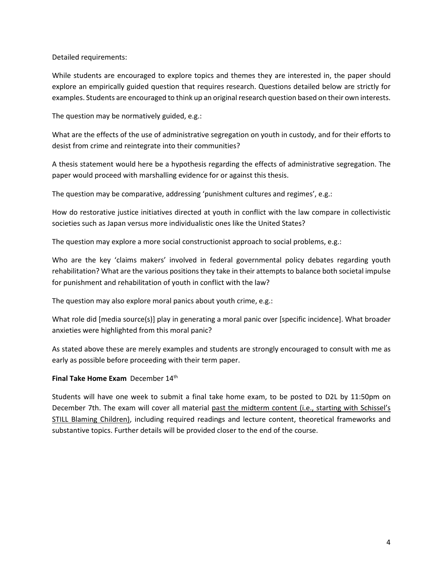Detailed requirements:

While students are encouraged to explore topics and themes they are interested in, the paper should explore an empirically guided question that requires research. Questions detailed below are strictly for examples. Students are encouraged to think up an original research question based on their own interests.

The question may be normatively guided, e.g.:

What are the effects of the use of administrative segregation on youth in custody, and for their efforts to desist from crime and reintegrate into their communities?

A thesis statement would here be a hypothesis regarding the effects of administrative segregation. The paper would proceed with marshalling evidence for or against this thesis.

The question may be comparative, addressing 'punishment cultures and regimes', e.g.:

How do restorative justice initiatives directed at youth in conflict with the law compare in collectivistic societies such as Japan versus more individualistic ones like the United States?

The question may explore a more social constructionist approach to social problems, e.g.:

Who are the key 'claims makers' involved in federal governmental policy debates regarding youth rehabilitation? What are the various positions they take in their attempts to balance both societal impulse for punishment and rehabilitation of youth in conflict with the law?

The question may also explore moral panics about youth crime, e.g.:

What role did [media source(s)] play in generating a moral panic over [specific incidence]. What broader anxieties were highlighted from this moral panic?

As stated above these are merely examples and students are strongly encouraged to consult with me as early as possible before proceeding with their term paper.

## **Final Take Home Exam** December 14<sup>th</sup>

Students will have one week to submit a final take home exam, to be posted to D2L by 11:50pm on December 7th. The exam will cover all material past the midterm content (i.e., starting with Schissel's STILL Blaming Children), including required readings and lecture content, theoretical frameworks and substantive topics. Further details will be provided closer to the end of the course.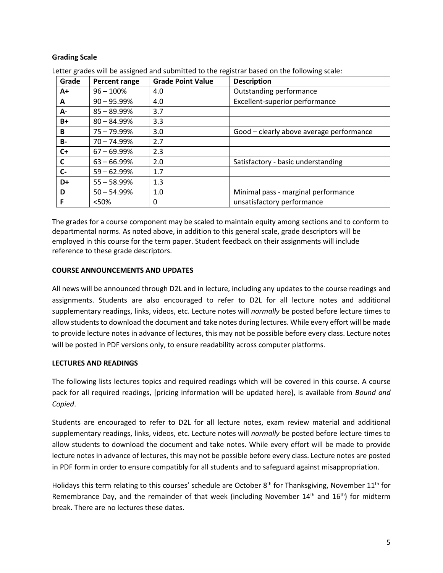### **Grading Scale**

| Grade     | Percent range  | <b>Grade Point Value</b> | <b>Description</b>                       |
|-----------|----------------|--------------------------|------------------------------------------|
| $A+$      | $96 - 100\%$   | 4.0                      | Outstanding performance                  |
| A         | $90 - 95.99\%$ | 4.0                      | Excellent-superior performance           |
| А-        | $85 - 89.99\%$ | 3.7                      |                                          |
| B+        | $80 - 84.99\%$ | 3.3                      |                                          |
| B         | $75 - 79.99\%$ | 3.0                      | Good - clearly above average performance |
| <b>B-</b> | $70 - 74.99%$  | 2.7                      |                                          |
| $C+$      | $67 - 69.99%$  | 2.3                      |                                          |
| C         | $63 - 66.99%$  | 2.0                      | Satisfactory - basic understanding       |
| $C -$     | $59 - 62.99%$  | 1.7                      |                                          |
| D+        | $55 - 58.99%$  | 1.3                      |                                          |
| D         | $50 - 54.99%$  | 1.0                      | Minimal pass - marginal performance      |
| F         | <50%           | 0                        | unsatisfactory performance               |

Letter grades will be assigned and submitted to the registrar based on the following scale:

The grades for a course component may be scaled to maintain equity among sections and to conform to departmental norms. As noted above, in addition to this general scale, grade descriptors will be employed in this course for the term paper. Student feedback on their assignments will include reference to these grade descriptors.

### **COURSE ANNOUNCEMENTS AND UPDATES**

All news will be announced through D2L and in lecture, including any updates to the course readings and assignments. Students are also encouraged to refer to D2L for all lecture notes and additional supplementary readings, links, videos, etc. Lecture notes will *normally* be posted before lecture times to allow students to download the document and take notes during lectures. While every effort will be made to provide lecture notes in advance of lectures, this may not be possible before every class. Lecture notes will be posted in PDF versions only, to ensure readability across computer platforms.

### **LECTURES AND READINGS**

The following lists lectures topics and required readings which will be covered in this course. A course pack for all required readings, [pricing information will be updated here], is available from *Bound and Copied*.

Students are encouraged to refer to D2L for all lecture notes, exam review material and additional supplementary readings, links, videos, etc. Lecture notes will *normally* be posted before lecture times to allow students to download the document and take notes. While every effort will be made to provide lecture notes in advance of lectures, this may not be possible before every class. Lecture notes are posted in PDF form in order to ensure compatibly for all students and to safeguard against misappropriation.

Holidays this term relating to this courses' schedule are October  $8<sup>th</sup>$  for Thanksgiving, November 11<sup>th</sup> for Remembrance Day, and the remainder of that week (including November  $14<sup>th</sup>$  and  $16<sup>th</sup>$ ) for midterm break. There are no lectures these dates.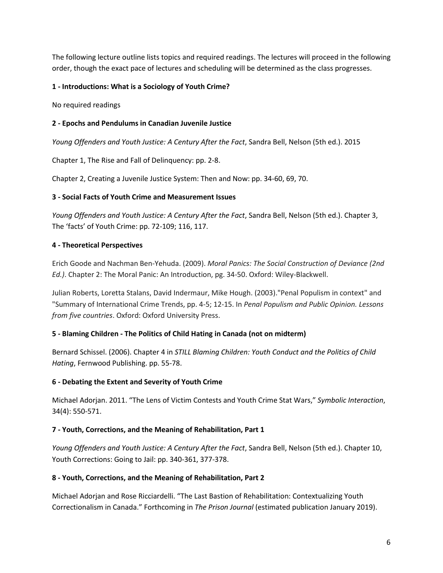The following lecture outline lists topics and required readings. The lectures will proceed in the following order, though the exact pace of lectures and scheduling will be determined as the class progresses.

## **1 - Introductions: What is a Sociology of Youth Crime?**

No required readings

## **2 - Epochs and Pendulums in Canadian Juvenile Justice**

*Young Offenders and Youth Justice: A Century After the Fact*, Sandra Bell, Nelson (5th ed.). 2015

Chapter 1, The Rise and Fall of Delinquency: pp. 2-8.

Chapter 2, Creating a Juvenile Justice System: Then and Now: pp. 34-60, 69, 70.

### **3 - Social Facts of Youth Crime and Measurement Issues**

*Young Offenders and Youth Justice: A Century After the Fact*, Sandra Bell, Nelson (5th ed.). Chapter 3, The 'facts' of Youth Crime: pp. 72-109; 116, 117.

### **4 - Theoretical Perspectives**

Erich Goode and Nachman Ben-Yehuda. (2009). *Moral Panics: The Social Construction of Deviance (2nd Ed.)*. Chapter 2: The Moral Panic: An Introduction, pg. 34-50. Oxford: Wiley-Blackwell.

Julian Roberts, Loretta Stalans, David Indermaur, Mike Hough. (2003)."Penal Populism in context" and "Summary of International Crime Trends, pp. 4-5; 12-15. In *Penal Populism and Public Opinion. Lessons from five countries*. Oxford: Oxford University Press.

## **5 - Blaming Children - The Politics of Child Hating in Canada (not on midterm)**

Bernard Schissel. (2006). Chapter 4 in *STILL Blaming Children: Youth Conduct and the Politics of Child Hating*, Fernwood Publishing. pp. 55-78.

## **6 - Debating the Extent and Severity of Youth Crime**

Michael Adorjan. 2011. "The Lens of Victim Contests and Youth Crime Stat Wars," *Symbolic Interaction*, 34(4): 550-571.

## **7 - Youth, Corrections, and the Meaning of Rehabilitation, Part 1**

*Young Offenders and Youth Justice: A Century After the Fact*, Sandra Bell, Nelson (5th ed.). Chapter 10, Youth Corrections: Going to Jail: pp. 340-361, 377-378.

## **8 - Youth, Corrections, and the Meaning of Rehabilitation, Part 2**

Michael Adorjan and Rose Ricciardelli. "The Last Bastion of Rehabilitation: Contextualizing Youth Correctionalism in Canada." Forthcoming in *The Prison Journal* (estimated publication January 2019).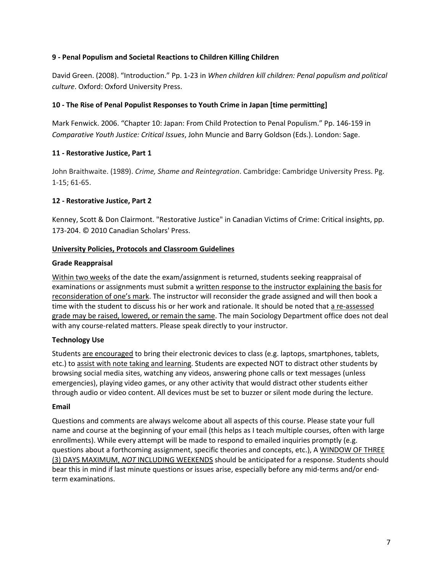### **9 - Penal Populism and Societal Reactions to Children Killing Children**

David Green. (2008). "Introduction." Pp. 1-23 in *When children kill children: Penal populism and political culture*. Oxford: Oxford University Press.

### **10 - The Rise of Penal Populist Responses to Youth Crime in Japan [time permitting]**

Mark Fenwick. 2006. "Chapter 10: Japan: From Child Protection to Penal Populism." Pp. 146-159 in *Comparative Youth Justice: Critical Issues*, John Muncie and Barry Goldson (Eds.). London: Sage.

## **11 - Restorative Justice, Part 1**

John Braithwaite. (1989). *Crime, Shame and Reintegration*. Cambridge: Cambridge University Press. Pg. 1-15; 61-65.

### **12 - Restorative Justice, Part 2**

Kenney, Scott & Don Clairmont. "Restorative Justice" in Canadian Victims of Crime: Critical insights, pp. 173-204. © 2010 Canadian Scholars' Press.

### **University Policies, Protocols and Classroom Guidelines**

### **Grade Reappraisal**

Within two weeks of the date the exam/assignment is returned, students seeking reappraisal of examinations or assignments must submit a written response to the instructor explaining the basis for reconsideration of one's mark. The instructor will reconsider the grade assigned and will then book a time with the student to discuss his or her work and rationale. It should be noted that a re-assessed grade may be raised, lowered, or remain the same. The main Sociology Department office does not deal with any course-related matters. Please speak directly to your instructor.

### **Technology Use**

Students are encouraged to bring their electronic devices to class (e.g. laptops, smartphones, tablets, etc.) to assist with note taking and learning. Students are expected NOT to distract other students by browsing social media sites, watching any videos, answering phone calls or text messages (unless emergencies), playing video games, or any other activity that would distract other students either through audio or video content. All devices must be set to buzzer or silent mode during the lecture.

### **Email**

Questions and comments are always welcome about all aspects of this course. Please state your full name and course at the beginning of your email (this helps as I teach multiple courses, often with large enrollments). While every attempt will be made to respond to emailed inquiries promptly (e.g. questions about a forthcoming assignment, specific theories and concepts, etc.), A WINDOW OF THREE (3) DAYS MAXIMUM, *NOT* INCLUDING WEEKENDS should be anticipated for a response. Students should bear this in mind if last minute questions or issues arise, especially before any mid-terms and/or endterm examinations.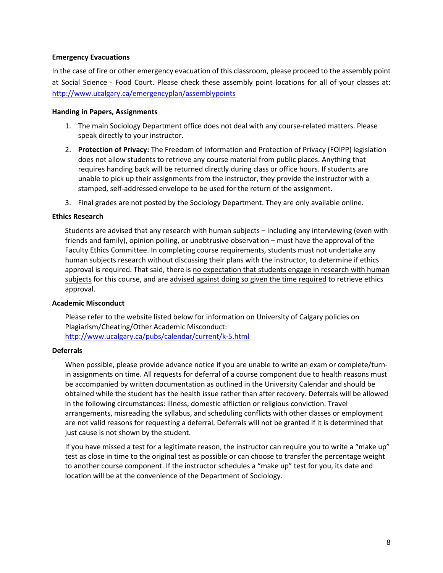#### **Emergency Evacuations**

In the case of fire or other emergency evacuation of this classroom, please proceed to the assembly point at Social Science - Food Court. Please check these assembly point locations for all of your classes at: <http://www.ucalgary.ca/emergencyplan/assemblypoints>

#### **Handing in Papers, Assignments**

- 1. The main Sociology Department office does not deal with any course-related matters. Please speak directly to your instructor.
- 2. **Protection of Privacy:** The Freedom of Information and Protection of Privacy (FOIPP) legislation does not allow students to retrieve any course material from public places. Anything that requires handing back will be returned directly during class or office hours. If students are unable to pick up their assignments from the instructor, they provide the instructor with a stamped, self-addressed envelope to be used for the return of the assignment.
- 3. Final grades are not posted by the Sociology Department. They are only available online.

#### **Ethics Research**

Students are advised that any research with human subjects – including any interviewing (even with friends and family), opinion polling, or unobtrusive observation – must have the approval of the Faculty Ethics Committee. In completing course requirements, students must not undertake any human subjects research without discussing their plans with the instructor, to determine if ethics approval is required. That said, there is no expectation that students engage in research with human subjects for this course, and are advised against doing so given the time required to retrieve ethics approval.

### **Academic Misconduct**

Please refer to the website listed below for information on University of Calgary policies on Plagiarism/Cheating/Other Academic Misconduct: <http://www.ucalgary.ca/pubs/calendar/current/k-5.html>

#### **Deferrals**

When possible, please provide advance notice if you are unable to write an exam or complete/turnin assignments on time. All requests for deferral of a course component due to health reasons must be accompanied by written documentation as outlined in the University Calendar and should be obtained while the student has the health issue rather than after recovery. Deferrals will be allowed in the following circumstances: illness, domestic affliction or religious conviction. Travel arrangements, misreading the syllabus, and scheduling conflicts with other classes or employment are not valid reasons for requesting a deferral. Deferrals will not be granted if it is determined that just cause is not shown by the student.

If you have missed a test for a legitimate reason, the instructor can require you to write a "make up" test as close in time to the original test as possible or can choose to transfer the percentage weight to another course component. If the instructor schedules a "make up" test for you, its date and location will be at the convenience of the Department of Sociology.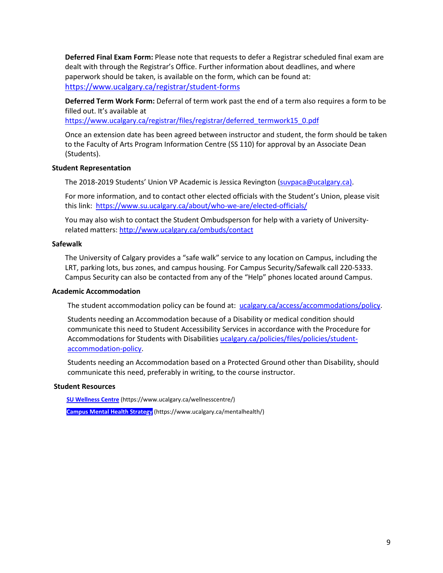**Deferred Final Exam Form:** Please note that requests to defer a Registrar scheduled final exam are dealt with through the Registrar's Office. Further information about deadlines, and where paperwork should be taken, is available on the form, which can be found at: <https://www.ucalgary.ca/registrar/student-forms>

**Deferred Term Work Form:** Deferral of term work past the end of a term also requires a form to be filled out. It's available at

https://www.ucalgary.ca/registrar/files/registrar/deferred\_termwork15\_0.pdf

Once an extension date has been agreed between instructor and student, the form should be taken to the Faculty of Arts Program Information Centre (SS 110) for approval by an Associate Dean (Students).

### **Student Representation**

The 2018-2019 Students' Union VP Academic is Jessica Revington [\(suvpaca@ucalgary.ca\)](mailto:suvpaca@ucalgary.ca).

For more information, and to contact other elected officials with the Student's Union, please visit this link:<https://www.su.ucalgary.ca/about/who-we-are/elected-officials/>

You may also wish to contact the Student Ombudsperson for help with a variety of Universityrelated matters:<http://www.ucalgary.ca/ombuds/contact>

### **Safewalk**

The University of Calgary provides a "safe walk" service to any location on Campus, including the LRT, parking lots, bus zones, and campus housing. For Campus Security/Safewalk call 220-5333. Campus Security can also be contacted from any of the "Help" phones located around Campus.

### **Academic Accommodation**

The student accommodation policy can be found at: [ucalgary.ca/access/accommodations/policy.](http://www.ucalgary.ca/access/accommodations/policy)

Students needing an Accommodation because of a Disability or medical condition should communicate this need to Student Accessibility Services in accordance with the Procedure for Accommodations for Students with Disabilities [ucalgary.ca/policies/files/policies/student](http://www.ucalgary.ca/policies/files/policies/student-accommodation-policy.pdf)[accommodation-policy.](http://www.ucalgary.ca/policies/files/policies/student-accommodation-policy.pdf)

Students needing an Accommodation based on a Protected Ground other than Disability, should communicate this need, preferably in writing, to the course instructor.

### **Student Resources**

**[SU Wellness Centre](http://www.ucalgary.ca/wellnesscentre/)** (https://www.ucalgary.ca/wellnesscentre/)

**[Campus Mental Health Strategy](https://www.ucalgary.ca/mentalhealth/)** (https://www.ucalgary.ca/mentalhealth/)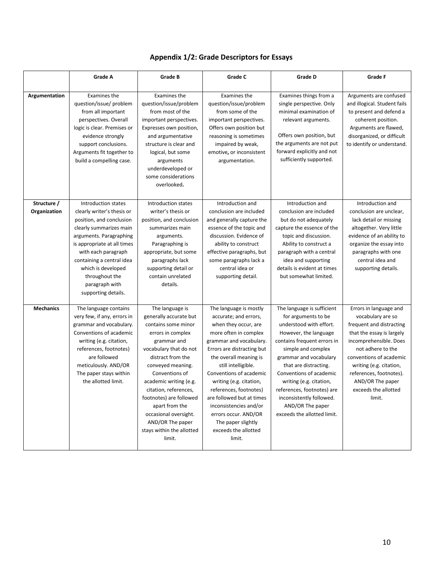| <b>Appendix 1/2: Grade Descriptors for Essays</b> |  |  |
|---------------------------------------------------|--|--|
|---------------------------------------------------|--|--|

|                             | <b>Grade A</b>                                                                                                                                                                                                                                                                                          | <b>Grade B</b>                                                                                                                                                                                                                                                                                                                                                                 | Grade C                                                                                                                                                                                                                                                                                                                                                                                                                           | <b>Grade D</b>                                                                                                                                                                                                                                                                                                                                                                   | <b>Grade F</b>                                                                                                                                                                                                                                                                             |
|-----------------------------|---------------------------------------------------------------------------------------------------------------------------------------------------------------------------------------------------------------------------------------------------------------------------------------------------------|--------------------------------------------------------------------------------------------------------------------------------------------------------------------------------------------------------------------------------------------------------------------------------------------------------------------------------------------------------------------------------|-----------------------------------------------------------------------------------------------------------------------------------------------------------------------------------------------------------------------------------------------------------------------------------------------------------------------------------------------------------------------------------------------------------------------------------|----------------------------------------------------------------------------------------------------------------------------------------------------------------------------------------------------------------------------------------------------------------------------------------------------------------------------------------------------------------------------------|--------------------------------------------------------------------------------------------------------------------------------------------------------------------------------------------------------------------------------------------------------------------------------------------|
| Argumentation               | Examines the<br>question/issue/ problem<br>from all important<br>perspectives. Overall<br>logic is clear. Premises or<br>evidence strongly<br>support conclusions.<br>Arguments fit together to<br>build a compelling case.                                                                             | Examines the<br>question/issue/problem<br>from most of the<br>important perspectives.<br>Expresses own position,<br>and argumentative<br>structure is clear and<br>logical, but some<br>arguments<br>underdeveloped or<br>some considerations<br>overlooked.                                                                                                                   | Examines the<br>question/issue/problem<br>from some of the<br>important perspectives.<br>Offers own position but<br>reasoning is sometimes<br>impaired by weak,<br>emotive, or inconsistent<br>argumentation.                                                                                                                                                                                                                     | Examines things from a<br>single perspective. Only<br>minimal examination of<br>relevant arguments.<br>Offers own position, but<br>the arguments are not put<br>forward explicitly and not<br>sufficiently supported.                                                                                                                                                            | Arguments are confused<br>and illogical. Student fails<br>to present and defend a<br>coherent position.<br>Arguments are flawed,<br>disorganized, or difficult<br>to identify or understand.                                                                                               |
| Structure /<br>Organization | Introduction states<br>clearly writer's thesis or<br>position, and conclusion<br>clearly summarizes main<br>arguments. Paragraphing<br>is appropriate at all times<br>with each paragraph<br>containing a central idea<br>which is developed<br>throughout the<br>paragraph with<br>supporting details. | Introduction states<br>writer's thesis or<br>position, and conclusion<br>summarizes main<br>arguments.<br>Paragraphing is<br>appropriate, but some<br>paragraphs lack<br>supporting detail or<br>contain unrelated<br>details.                                                                                                                                                 | Introduction and<br>conclusion are included<br>and generally capture the<br>essence of the topic and<br>discussion. Evidence of<br>ability to construct<br>effective paragraphs, but<br>some paragraphs lack a<br>central idea or<br>supporting detail.                                                                                                                                                                           | Introduction and<br>conclusion are included<br>but do not adequately<br>capture the essence of the<br>topic and discussion.<br>Ability to construct a<br>paragraph with a central<br>idea and supporting<br>details is evident at times<br>but somewhat limited.                                                                                                                 | Introduction and<br>conclusion are unclear,<br>lack detail or missing<br>altogether. Very little<br>evidence of an ability to<br>organize the essay into<br>paragraphs with one<br>central idea and<br>supporting details.                                                                 |
| <b>Mechanics</b>            | The language contains<br>very few, if any, errors in<br>grammar and vocabulary.<br>Conventions of academic<br>writing (e.g. citation,<br>references, footnotes)<br>are followed<br>meticulously. AND/OR<br>The paper stays within<br>the allotted limit.                                                | The language is<br>generally accurate but<br>contains some minor<br>errors in complex<br>grammar and<br>vocabulary that do not<br>distract from the<br>conveyed meaning.<br>Conventions of<br>academic writing (e.g.<br>citation, references,<br>footnotes) are followed<br>apart from the<br>occasional oversight.<br>AND/OR The paper<br>stays within the allotted<br>limit. | The language is mostly<br>accurate; and errors,<br>when they occur, are<br>more often in complex<br>grammar and vocabulary.<br>Errors are distracting but<br>the overall meaning is<br>still intelligible.<br>Conventions of academic<br>writing (e.g. citation,<br>references, footnotes)<br>are followed but at times<br>inconsistencies and/or<br>errors occur. AND/OR<br>The paper slightly<br>exceeds the allotted<br>limit. | The language is sufficient<br>for arguments to be<br>understood with effort.<br>However, the language<br>contains frequent errors in<br>simple and complex<br>grammar and vocabulary<br>that are distracting.<br>Conventions of academic<br>writing (e.g. citation,<br>references, footnotes) are<br>inconsistently followed.<br>AND/OR The paper<br>exceeds the allotted limit. | Errors in language and<br>vocabulary are so<br>frequent and distracting<br>that the essay is largely<br>incomprehensible. Does<br>not adhere to the<br>conventions of academic<br>writing (e.g. citation,<br>references, footnotes).<br>AND/OR The paper<br>exceeds the allotted<br>limit. |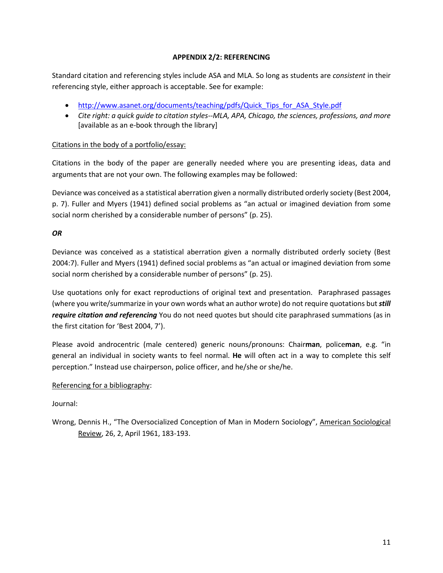## **APPENDIX 2/2: REFERENCING**

Standard citation and referencing styles include ASA and MLA. So long as students are *consistent* in their referencing style, either approach is acceptable. See for example:

- [http://www.asanet.org/documents/teaching/pdfs/Quick\\_Tips\\_for\\_ASA\\_Style.pdf](http://www.asanet.org/documents/teaching/pdfs/Quick_Tips_for_ASA_Style.pdf)
- *Cite right: a quick guide to citation styles--MLA, APA, Chicago, the sciences, professions, and more* [available as an e-book through the library]

## Citations in the body of a portfolio/essay:

Citations in the body of the paper are generally needed where you are presenting ideas, data and arguments that are not your own. The following examples may be followed:

Deviance was conceived as a statistical aberration given a normally distributed orderly society (Best 2004, p. 7). Fuller and Myers (1941) defined social problems as "an actual or imagined deviation from some social norm cherished by a considerable number of persons" (p. 25).

## *OR*

Deviance was conceived as a statistical aberration given a normally distributed orderly society (Best 2004:7). Fuller and Myers (1941) defined social problems as "an actual or imagined deviation from some social norm cherished by a considerable number of persons" (p. 25).

Use quotations only for exact reproductions of original text and presentation. Paraphrased passages (where you write/summarize in your own words what an author wrote) do not require quotations but *still require citation and referencing* You do not need quotes but should cite paraphrased summations (as in the first citation for 'Best 2004, 7').

Please avoid androcentric (male centered) generic nouns/pronouns: Chair**man**, police**man**, e.g. "in general an individual in society wants to feel normal. **He** will often act in a way to complete this self perception." Instead use chairperson, police officer, and he/she or she/he.

## Referencing for a bibliography:

## Journal:

Wrong, Dennis H., "The Oversocialized Conception of Man in Modern Sociology", American Sociological Review, 26, 2, April 1961, 183-193.